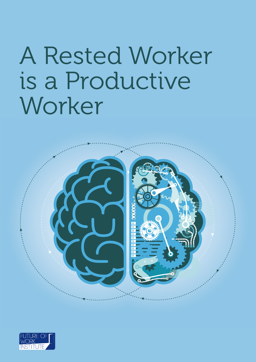# A Rested Worker is a Productive Worker



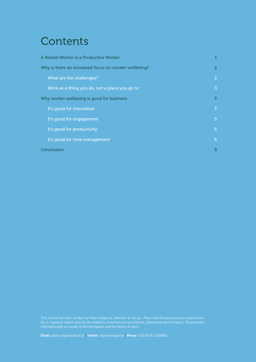# **Contents**

| A Rested Worker is a Productive Worker               |                |
|------------------------------------------------------|----------------|
| Why is there an increased focus on worker wellbeing? | $\mathbf{2}$   |
| What are the challenges?                             | $\mathbf{2}$   |
| Work as a thing you do, not a place you go to        | $\overline{3}$ |
| Why worker wellbeing is good for business            | 5              |
| It's good for innovation                             | $\overline{5}$ |
| It's good for engagement                             | $\overline{5}$ |
| It's good for productivity                           | 6              |
| It's good for time management                        | 6              |
| Conclusion                                           | 8              |

This article has been written by Peter Cosgrove, Director at Cpl plc. Peter has 20 years business experience.

**Email** peter.cosgrove@cpl.ie | **Twitter** @petercosgrove | **Phone** +353 (0) 87 6200836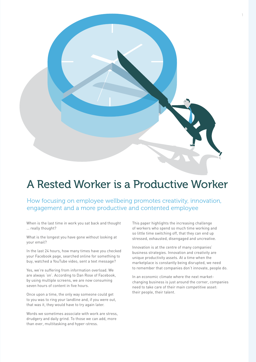

# A Rested Worker is a Productive Worker

How focusing on employee wellbeing promotes creativity, innovation, engagement and a more productive and contented employee

When is the last time in work you sat back and thought … really thought?

What is the longest you have gone without looking at your email?

In the last 24 hours, how many times have you checked your Facebook page, searched online for something to buy, watched a YouTube video, sent a text message?

Yes, we're suffering from information overload. We are always 'on'. According to Dan Rose of Facebook, by using multiple screens, we are now consuming seven hours of content in five hours.

Once upon a time, the only way someone could get to you was to ring your landline and, if you were out, that was it, they would have to try again later.

Words we sometimes associate with work are stress, drudgery and daily grind. To those we can add, more than ever, multitasking and hyper-stress.

This paper highlights the increasing challenge of workers who spend so much time working and so little time switching off, that they can end up stressed, exhausted, disengaged and uncreative.

Innovation is at the centre of many companies' business strategies. Innovation and creativity are unique productivity assets. At a time when the marketplace is constantly being disrupted, we need to remember that companies don't innovate, people do.

In an economic climate where the next marketchanging business is just around the corner, companies need to take care of their main competitive asset: their people, their talent.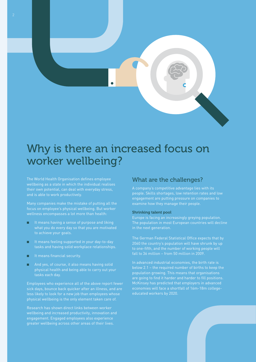

# Why is there an increased focus on worker wellbeing?

focus on employee's physical wellbeing. But worker wellness encompasses a lot more than health:

- It means having a sense of purpose and liking
- It means feeling supported in your day-to-day
- $\blacksquare$  It means financial security.
- And yes, of course, it also means having solid

Employees who experience all of the above report fewer less likely to look for a new job than employees whose

engagement. Engaged employees also experience

### What are the challenges?

people. Skills shortages, low retention rates and low engagement are putting pressure on companies to examine how they manage their people.

#### Shrinking talent pool

Europe is facing an increasingly greying population. in the next generation.

The German Federal Statistical Office expects that by to one-fifth, and the number of working people will

In advanced industrial economies, the birth rate is population growing. This means that organisations educated workers by 2020.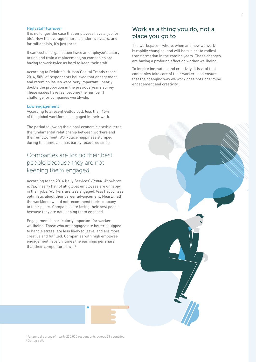#### High staff turnover

It is no longer the case that employees have a 'job for life'. Now the average tenure is under five years, and for millennials, it's just three.

It can cost an organisation twice an employee's salary to find and train a replacement, so companies are having to work twice as hard to keep their staff.

According to Deloitte's Human Capital Trends report 2014, 50% of respondents believed that engagement and retention issues were 'very important', nearly double the proportion in the previous year's survey. These issues have fast become the number 1 challenge for companies worldwide.

#### Low engagement

According to a recent Gallup poll, less than 15% of the global workforce is engaged in their work.

The period following the global economic crash altered the fundamental relationship between workers and their employment. Workplace happiness slumped during this time, and has barely recovered since.

# Companies are losing their best people because they are not keeping them engaged.

According to the 2014 Kelly Services' Global Workforce Index,<sup>1</sup> nearly half of all global employees are unhappy in their jobs. Workers are less engaged, less happy, less optimistic about their career advancement. Nearly half the workforce would not recommend their company to their peers. Companies are losing their best people because they are not keeping them engaged.

Engagement is particularly important for worker wellbeing. Those who are engaged are better equipped to handle stress, are less likely to leave, and are more creative and fulfilled. Companies with high employee engagement have 3.9 times the earnings per share that their competitors have.<sup>2</sup>

### Work as a thing you do, not a place you go to

The workspace – where, when and how we work is rapidly changing, and will be subject to radical transformation in the coming years. These changes are having a profound effect on worker wellbeing.

To inspire innovation and creativity, it is vital that companies take care of their workers and ensure that the changing way we work does not undermine engagement and creativity.



<sup>1</sup> An annual survey of nearly 230,000 respondents across 31 countries. 2 Gallup poll.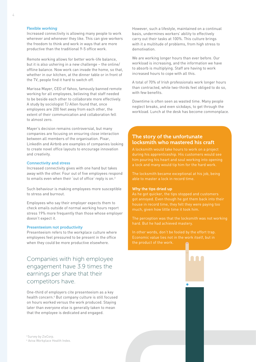#### Flexible working

Increased connectivity is allowing many people to work wherever and whenever they like. This can give workers the freedom to think and work in ways that are more productive than the traditional 9-5 office work.

Remote working allows for better work-life balance, but it is also ushering in a new challenge – the online/ offline balance. Now work can invade the home, so that, whether in our kitchen, at the dinner table or in front of the TV, people find it hard to switch off.

Marissa Mayer, CEO of Yahoo, famously banned remote working for all employees, believing that staff needed to be beside each other to collaborate more effectively. A study by sociologist TJ Allen found that, once employees are 200 feet away from each other, the extent of their communication and collaboration fell to almost zero.

Mayer's decision remains controversial, but many companies are focusing on ensuring close interaction between all members of the organisation. Pixar, LinkedIn and Airbnb are examples of companies looking to create novel office layouts to encourage innovation and creativity.

#### Connectivity and stress

Increased connectivity gives with one hand but takes away with the other. Four out of five employees respond to emails even when their 'out of office' reply is on.3

Such behaviour is making employees more susceptible to stress and burnout.

Employees who say their employer expects them to check emails outside of normal working hours report stress 19% more frequently than those whose employer doesn't expect it.

#### Presenteeism not productivity

Presenteeism refers to the workplace culture where employees feel pressured to be present in the office when they could be more productive elsewhere.

# Companies with high employee engagement have 3.9 times the earnings per share that their competitors have.

One-third of employers cite presenteeism as a key health concern.4 But company culture is still focused on hours worked versus the work produced. Staying later than everyone else is generally taken to mean that the employee is dedicated and engaged.

<sup>3</sup> Survey by ZixCorp.

4 Aviva Workplace Health Index.

However, such a lifestyle, maintained on a continual basis, undermines workers' ability to effectively carry out their tasks at 100%. This culture brings with it a multitude of problems, from high stress to demotivation.

We are working longer hours than ever before. Our workload is increasing, and the information we have to absorb is multiplying. Staff are having to work increased hours to cope with all this.

A total of 70% of Irish professionals work longer hours than contracted, while two-thirds feel obliged to do so, with few benefits.

Downtime is often seen as wasted time. Many people neglect breaks, and even sickdays, to get through the workload. Lunch at the desk has become commonplace.

### The story of the unfortunate locksmith who mastered his craft

A locksmith would take hours to work on a project during his apprenticeship. His customers would see

The locksmith became exceptional at his job, being able to master a lock in record time.

#### Why the tips dried up

As he got quicker, the tips stopped and customers

the product of the work.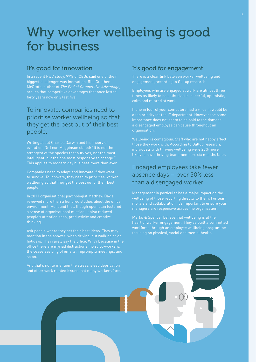# Why worker wellbeing is good for business

### It's good for innovation

biggest challenges was innovation. Rita Gunther McGrath, author of The End of Competitive Advantage, argues that competitive advantages that once lasted

# To innovate, companies need to prioritise worker wellbeing so that they get the best out of their best people.

evolution, Dr Leon Megginson stated: "It is not the strongest of the species that survives, nor the most intelligent, but the one most responsive to change." This applies to modern day business more than ever.

Companies need to adapt and innovate if they want to survive. To innovate, they need to prioritise worker wellbeing so that they get the best out of their best people.

In 2011 organisational psychologist Matthew Davis reviewed more than a hundred studies about the office environment. He found that, though open plan fostered

Ask people where they get their best ideas. They may the ceaseless ping of emails, impromptu meetings, and so on.

### It's good for engagement

engagement, according to Gallup research.

Employees who are engaged at work are almost three

a disengaged employee can cause throughout an organisation.

Wellbeing is contagious. Staff who are not happy affect

# Engaged employees take fewer absence days – over 50% less than a disengaged worker

Management in particular has a major impact on the managers are responsive across the organisation.

heart of worker engagement. They've built a committed workforce through an employee wellbeing programme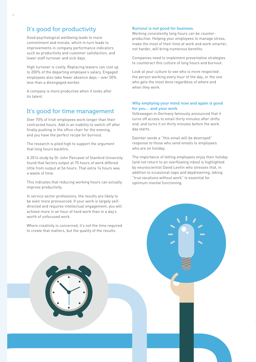## It's good for productivity

Good psychological wellbeing leads to more commitment and morale, which in turn leads to improvements in company performance indicators such as productivity and customer satisfaction, and lower staff turnover and sick days.

High turnover is costly. Replacing leavers can cost up to 200% of the departing employee's salary. Engaged employees also take fewer absence days – over 50% less than a disengaged worker.

A company is more productive when it looks after its talent.

### It's good for time management

Over 70% of Irish employees work longer than their contracted hours. Add in an inability to switch off after finally pushing in the office chair for the evening. and you have the perfect recipe for burnout.

The research is piled high to support the argument that long hours backfire.

A 2014 study by Dr John Pencavel of Stanford University found that factory output at 70 hours of work differed little from output at 56 hours. That extra 14 hours was a waste of time.

This indicates that reducing working hours can actually improve productivity.

In service sector professions, the results are likely to be even more pronounced. If your work is largely selfdirected and requires intellectual engagement, you will achieve more in an hour of hard work than in a day's worth of unfocused work.

Where creativity is concerned, it's not the time required to create that matters, but the quality of the results.

#### Burnout is not good for business.

Working consistently long hours can be counterproductive. Helping your employees to manage stress, make the most of their time at work and work smarter, not harder, will bring numerous benefits.

Companies need to implement preventative strategies to counteract this culture of long hours and burnout.

Look at your culture to see who is more respected: the person working every hour of the day, or the one who gets the most done regardless of where and when they work.

#### Why emptying your mind now and again is good for you… and your work

Volkswagen in Germany famously announced that it turns off access to email thirty minutes after shifts end, and turns it on thirty minutes before the work day starts.

Daimler sends a "this email will be destroyed" response to those who send emails to employees who are on holiday.

The importance of letting employees enjoy their holiday (and not return to an overflowing inbox) is highlighted by neuroscientist David Levitin who stresses that, in addition to occasional naps and daydreaming, taking "true vacations without work" is essential for optimum mental functioning.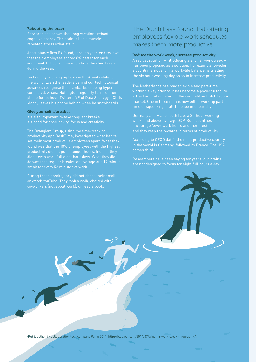#### Rebooting the brain

cognitive energy. The brain is like a muscle:

Technology is changing how we think and relate to advances recognise the drawbacks of being hyperconnected. Ariana Huffington regularly turns off her phone for an hour. Twitter's VP of Data Strategy – Chris

#### Give yourself a break …

It's also important to take frequent breaks.

The Draugiem Group, using the time-tracking productivity app DeskTime, investigated what habits set their most productive employees apart. What they found was that the 10% of employees with the highest productivity did not put in longer hours. Indeed, they do was take regular breaks: an average of a 17 minute

# The Dutch have found that offering employees flexible work schedules makes them more productive.

#### Reduce the work week, increase productivity

market. One in three men is now either working part-

week, and above-average GDP. Both countries encourage fewer work hours and more rest

According to OECD data<sup>5</sup>, the most productive country comes third.

5 Put together by collaboration tech company Pgi in 2014: http://blog.pgi.com/2014/07/winding-work-week-infographic/.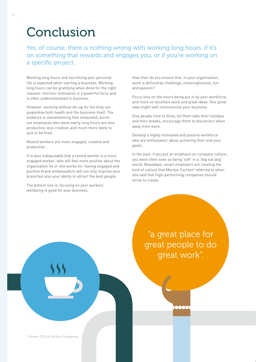# Conclusion

Yes, of course, there is nothing wrong with working long hours, if it's on something that rewards and engages you, or if you're working on a specific project.

Working long hours and sacrificing your personal life is expected when starting a business. Working long hours can be gratifying when done for the right reasons. Intrinsic motivation is a powerful force and is often underestimated in business.

However, working without let-up for too long can jeopardise both health and the business itself. The evidence is overwhelming that exhausted, burntout employees who work overly long hours are less productive, less creative, and much more likely to quit or be fired.

Rested workers are more engaged, creative and productive.

It is also indisputable that a rested worker is a more engaged worker, who will feel more positive about the organisation he or she works for. Having engaged and positive brand ambassadors will not only improve your brand but also your ability to attract the best people.

The bottom line is: focusing on your workers' wellbeing is good for your business.

How then do you ensure that, in your organisation, work is defined by challenge, meaningfulness, fun and passion?

Focus less on the hours being put in by your workforce, and more on excellent work and great ideas. One great idea might well revolutionise your business.

Give people time to think, let them take their holidays and their breaks, encourage them to disconnect when away from work.

Develop a highly motivated and positive workforce who are enthusiastic about achieving their and your goals.

In the past, if you put an emphasis on company culture, you were often seen as being 'soft' in a 'dog eat dog' world. Nowadays, smart employers are creating the kind of culture that Marilyn Carlson<sup>6</sup> referred to when she said that high-performing companies should strive to create:

> "a great place for great people to do great work".

6 Former CEO of Carlson Companies.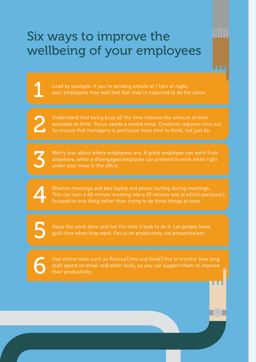# Six ways to improve the wellbeing of your employees

Lead by example. If you're sending emails at 11pm at night, your employees may well feel that they're expected to do the same.

Understand that being busy all the time reduces the amount of time available to think. Focus needs a rested mind. Creativity requires time out. So ensure that managers in particular have time to think, not just do.

Worry less about where employees are. A great employee can work from anywhere, while a disengaged employee can pretend to work while right under your nose in the office.

Shorten meetings and ban laptop and phone surfing during meetings. This can turn a 60-minute meeting into a 20-minute one at which everyone's focused on one thing rather than trying to do three things at once.

Value the work done and not the time it took to do it. Let people leave guilt-free when they want. Focus on productivity not presenteeism.

6

2

3

4

5

Use online tools such as RescueTime and DeskTime to monitor how long staff spend on email and other tools, so you can support them to improve their productivity.